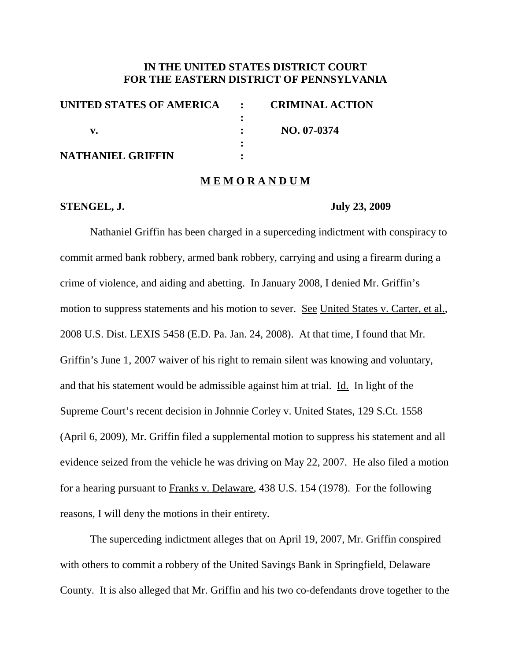# **IN THE UNITED STATES DISTRICT COURT FOR THE EASTERN DISTRICT OF PENNSYLVANIA**

| UNITED STATES OF AMERICA : | <b>CRIMINAL ACTION</b> |
|----------------------------|------------------------|
|                            |                        |
|                            | NO. 07-0374            |
|                            |                        |
| <b>NATHANIEL GRIFFIN</b>   |                        |
|                            |                        |

### **M E M O R A N D U M**

### **STENGEL, J. July 23, 2009**

Nathaniel Griffin has been charged in a superceding indictment with conspiracy to commit armed bank robbery, armed bank robbery, carrying and using a firearm during a crime of violence, and aiding and abetting. In January 2008, I denied Mr. Griffin's motion to suppress statements and his motion to sever. See United States v. Carter, et al., 2008 U.S. Dist. LEXIS 5458 (E.D. Pa. Jan. 24, 2008). At that time, I found that Mr. Griffin's June 1, 2007 waiver of his right to remain silent was knowing and voluntary, and that his statement would be admissible against him at trial. Id. In light of the Supreme Court's recent decision in Johnnie Corley v. United States, 129 S.Ct. 1558 (April 6, 2009), Mr. Griffin filed a supplemental motion to suppress his statement and all evidence seized from the vehicle he was driving on May 22, 2007. He also filed a motion for a hearing pursuant to Franks v. Delaware, 438 U.S. 154 (1978). For the following reasons, I will deny the motions in their entirety.

The superceding indictment alleges that on April 19, 2007, Mr. Griffin conspired with others to commit a robbery of the United Savings Bank in Springfield, Delaware County. It is also alleged that Mr. Griffin and his two co-defendants drove together to the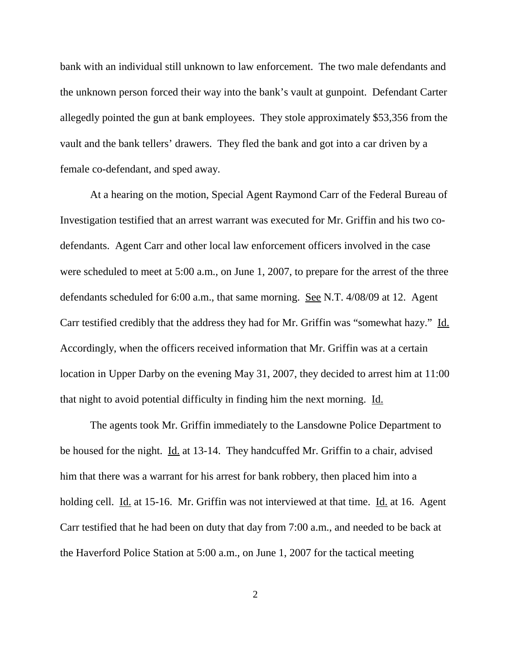bank with an individual still unknown to law enforcement. The two male defendants and the unknown person forced their way into the bank's vault at gunpoint. Defendant Carter allegedly pointed the gun at bank employees. They stole approximately \$53,356 from the vault and the bank tellers' drawers. They fled the bank and got into a car driven by a female co-defendant, and sped away.

At a hearing on the motion, Special Agent Raymond Carr of the Federal Bureau of Investigation testified that an arrest warrant was executed for Mr. Griffin and his two codefendants. Agent Carr and other local law enforcement officers involved in the case were scheduled to meet at 5:00 a.m., on June 1, 2007, to prepare for the arrest of the three defendants scheduled for 6:00 a.m., that same morning. See N.T. 4/08/09 at 12. Agent Carr testified credibly that the address they had for Mr. Griffin was "somewhat hazy." Id. Accordingly, when the officers received information that Mr. Griffin was at a certain location in Upper Darby on the evening May 31, 2007, they decided to arrest him at 11:00 that night to avoid potential difficulty in finding him the next morning. Id.

The agents took Mr. Griffin immediately to the Lansdowne Police Department to be housed for the night. Id. at 13-14. They handcuffed Mr. Griffin to a chair, advised him that there was a warrant for his arrest for bank robbery, then placed him into a holding cell. Id. at 15-16. Mr. Griffin was not interviewed at that time. Id. at 16. Agent Carr testified that he had been on duty that day from 7:00 a.m., and needed to be back at the Haverford Police Station at 5:00 a.m., on June 1, 2007 for the tactical meeting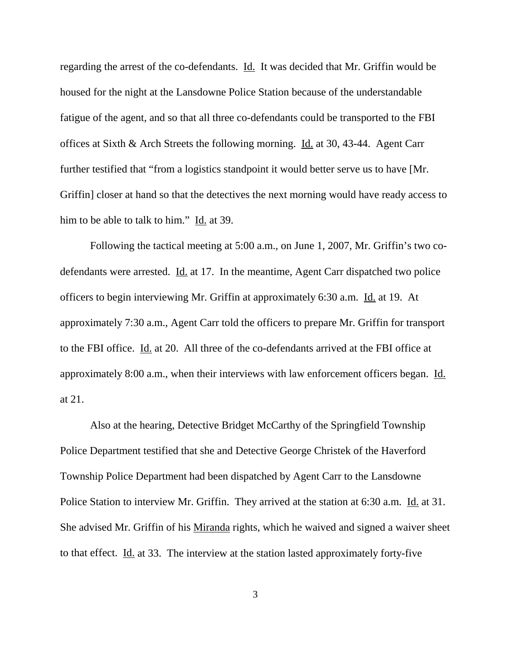regarding the arrest of the co-defendants. Id. It was decided that Mr. Griffin would be housed for the night at the Lansdowne Police Station because of the understandable fatigue of the agent, and so that all three co-defendants could be transported to the FBI offices at Sixth & Arch Streets the following morning. Id. at 30, 43-44. Agent Carr further testified that "from a logistics standpoint it would better serve us to have [Mr. Griffin] closer at hand so that the detectives the next morning would have ready access to him to be able to talk to him." Id. at 39.

Following the tactical meeting at 5:00 a.m., on June 1, 2007, Mr. Griffin's two codefendants were arrested. Id. at 17. In the meantime, Agent Carr dispatched two police officers to begin interviewing Mr. Griffin at approximately 6:30 a.m. Id. at 19. At approximately 7:30 a.m., Agent Carr told the officers to prepare Mr. Griffin for transport to the FBI office. Id. at 20. All three of the co-defendants arrived at the FBI office at approximately 8:00 a.m., when their interviews with law enforcement officers began. Id. at 21.

Also at the hearing, Detective Bridget McCarthy of the Springfield Township Police Department testified that she and Detective George Christek of the Haverford Township Police Department had been dispatched by Agent Carr to the Lansdowne Police Station to interview Mr. Griffin. They arrived at the station at 6:30 a.m. Id. at 31. She advised Mr. Griffin of his Miranda rights, which he waived and signed a waiver sheet to that effect.  $\underline{Id}$  at 33. The interview at the station lasted approximately forty-five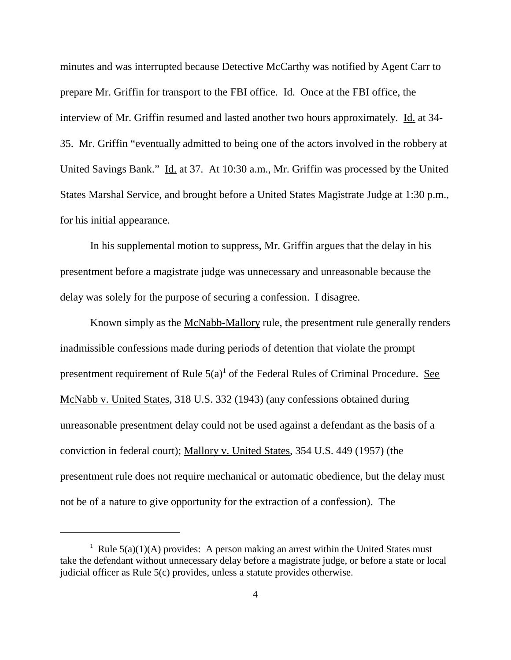minutes and was interrupted because Detective McCarthy was notified by Agent Carr to prepare Mr. Griffin for transport to the FBI office. Id. Once at the FBI office, the interview of Mr. Griffin resumed and lasted another two hours approximately. Id. at 34-35. Mr. Griffin "eventually admitted to being one of the actors involved in the robbery at United Savings Bank." Id. at 37. At 10:30 a.m., Mr. Griffin was processed by the United States Marshal Service, and brought before a United States Magistrate Judge at 1:30 p.m., for his initial appearance.

In his supplemental motion to suppress, Mr. Griffin argues that the delay in his presentment before a magistrate judge was unnecessary and unreasonable because the delay was solely for the purpose of securing a confession. I disagree.

Known simply as the McNabb-Mallory rule, the presentment rule generally renders inadmissible confessions made during periods of detention that violate the prompt presentment requirement of Rule  $5(a)^{1}$  of the Federal Rules of Criminal Procedure. See McNabb v. United States, 318 U.S. 332 (1943) (any confessions obtained during unreasonable presentment delay could not be used against a defendant as the basis of a conviction in federal court); Mallory v. United States, 354 U.S. 449 (1957) (the presentment rule does not require mechanical or automatic obedience, but the delay must not be of a nature to give opportunity for the extraction of a confession). The

<sup>&</sup>lt;sup>1</sup> Rule  $5(a)(1)(A)$  provides: A person making an arrest within the United States must take the defendant without unnecessary delay before a magistrate judge, or before a state or local judicial officer as Rule 5(c) provides, unless a statute provides otherwise.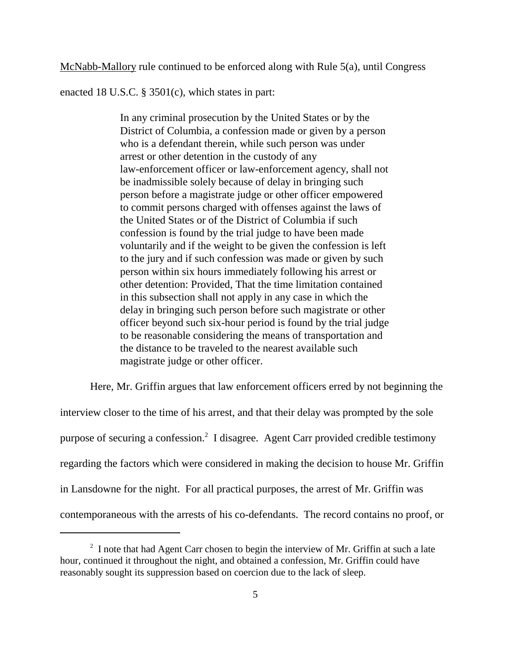McNabb-Mallory rule continued to be enforced along with Rule 5(a), until Congress

enacted 18 U.S.C. § 3501(c), which states in part:

In any criminal prosecution by the United States or by the District of Columbia, a confession made or given by a person who is a defendant therein, while such person was under arrest or other detention in the custody of any law-enforcement officer or law-enforcement agency, shall not be inadmissible solely because of delay in bringing such person before a magistrate judge or other officer empowered to commit persons charged with offenses against the laws of the United States or of the District of Columbia if such confession is found by the trial judge to have been made voluntarily and if the weight to be given the confession is left to the jury and if such confession was made or given by such person within six hours immediately following his arrest or other detention: Provided, That the time limitation contained in this subsection shall not apply in any case in which the delay in bringing such person before such magistrate or other officer beyond such six-hour period is found by the trial judge to be reasonable considering the means of transportation and the distance to be traveled to the nearest available such magistrate judge or other officer.

Here, Mr. Griffin argues that law enforcement officers erred by not beginning the interview closer to the time of his arrest, and that their delay was prompted by the sole purpose of securing a confession. <sup>2</sup> I disagree. Agent Carr provided credible testimony regarding the factors which were considered in making the decision to house Mr. Griffin in Lansdowne for the night. For all practical purposes, the arrest of Mr. Griffin was contemporaneous with the arrests of his co-defendants. The record contains no proof, or

 $2\,$  I note that had Agent Carr chosen to begin the interview of Mr. Griffin at such a late hour, continued it throughout the night, and obtained a confession, Mr. Griffin could have reasonably sought its suppression based on coercion due to the lack of sleep.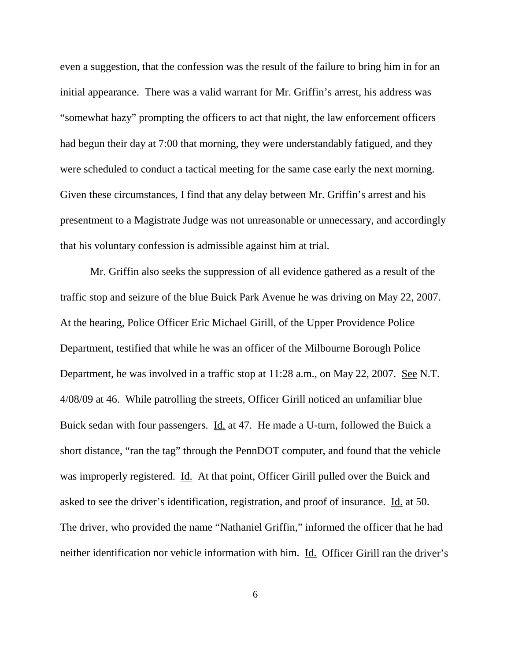even a suggestion, that the confession was the result of the failure to bring him in for an initial appearance. There was a valid warrant for Mr. Griffin's arrest, his address was "somewhat hazy" prompting the officers to act that night, the law enforcement officers had begun their day at 7:00 that morning, they were understandably fatigued, and they were scheduled to conduct a tactical meeting for the same case early the next morning. Given these circumstances, I find that any delay between Mr. Griffin's arrest and his presentment to a Magistrate Judge was not unreasonable or unnecessary, and accordingly that his voluntary confession is admissible against him at trial.

Mr. Griffin also seeks the suppression of all evidence gathered as a result of the traffic stop and seizure of the blue Buick Park Avenue he was driving on May 22, 2007. At the hearing, Police Officer Eric Michael Girill, of the Upper Providence Police Department, testified that while he was an officer of the Milbourne Borough Police Department, he was involved in a traffic stop at 11:28 a.m., on May 22, 2007. <u>See</u> N.T. 4/08/09 at 46. While patrolling the streets, Officer Girill noticed an unfamiliar blue Buick sedan with four passengers. Id. at 47. He made a U-turn, followed the Buick a short distance, "ran the tag" through the PennDOT computer, and found that the vehicle was improperly registered. Id. At that point, Officer Girill pulled over the Buick and asked to see the driver's identification, registration, and proof of insurance. Id. at 50. The driver, who provided the name "Nathaniel Griffin," informed the officer that he had neither identification nor vehicle information with him. Id. Officer Girill ran the driver's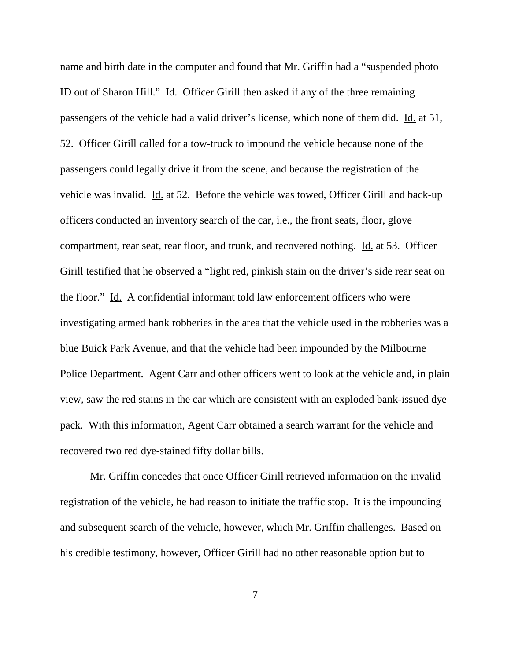name and birth date in the computer and found that Mr. Griffin had a "suspended photo ID out of Sharon Hill." Id. Officer Girill then asked if any of the three remaining passengers of the vehicle had a valid driver's license, which none of them did. Id. at 51, 52. Officer Girill called for a tow-truck to impound the vehicle because none of the passengers could legally drive it from the scene, and because the registration of the vehicle was invalid. Id. at 52. Before the vehicle was towed, Officer Girill and back-up officers conducted an inventory search of the car, i.e., the front seats, floor, glove compartment, rear seat, rear floor, and trunk, and recovered nothing. Id. at 53. Officer Girill testified that he observed a "light red, pinkish stain on the driver's side rear seat on the floor." Id. A confidential informant told law enforcement officers who were investigating armed bank robberies in the area that the vehicle used in the robberies was a blue Buick Park Avenue, and that the vehicle had been impounded by the Milbourne Police Department. Agent Carr and other officers went to look at the vehicle and, in plain view, saw the red stains in the car which are consistent with an exploded bank-issued dye pack. With this information, Agent Carr obtained a search warrant for the vehicle and recovered two red dye-stained fifty dollar bills.

Mr. Griffin concedes that once Officer Girill retrieved information on the invalid registration of the vehicle, he had reason to initiate the traffic stop. It is the impounding and subsequent search of the vehicle, however, which Mr. Griffin challenges. Based on his credible testimony, however, Officer Girill had no other reasonable option but to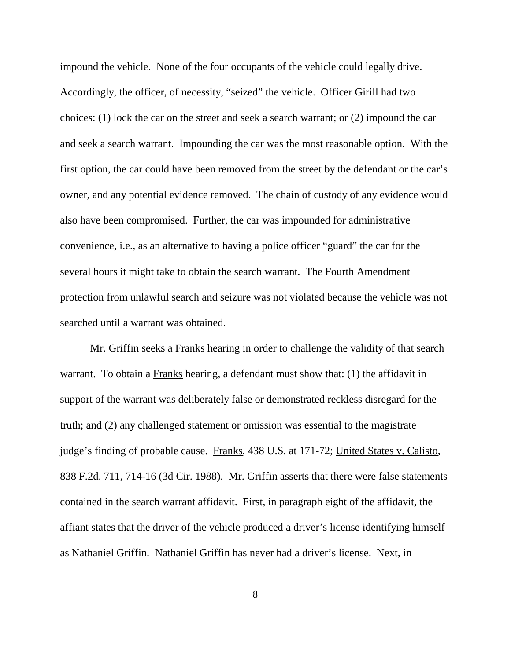impound the vehicle. None of the four occupants of the vehicle could legally drive. Accordingly, the officer, of necessity, "seized" the vehicle. Officer Girill had two choices: (1) lock the car on the street and seek a search warrant; or (2) impound the car and seek a search warrant. Impounding the car was the most reasonable option. With the first option, the car could have been removed from the street by the defendant or the car's owner, and any potential evidence removed. The chain of custody of any evidence would also have been compromised. Further, the car was impounded for administrative convenience, i.e., as an alternative to having a police officer "guard" the car for the several hours it might take to obtain the search warrant. The Fourth Amendment protection from unlawful search and seizure was not violated because the vehicle was not searched until a warrant was obtained.

Mr. Griffin seeks a Franks hearing in order to challenge the validity of that search warrant. To obtain a Franks hearing, a defendant must show that: (1) the affidavit in support of the warrant was deliberately false or demonstrated reckless disregard for the truth; and (2) any challenged statement or omission was essential to the magistrate judge's finding of probable cause. Franks, 438 U.S. at 171-72; United States v. Calisto, 838 F.2d. 711, 714-16 (3d Cir. 1988). Mr. Griffin asserts that there were false statements contained in the search warrant affidavit. First, in paragraph eight of the affidavit, the affiant states that the driver of the vehicle produced a driver's license identifying himself as Nathaniel Griffin. Nathaniel Griffin has never had a driver's license. Next, in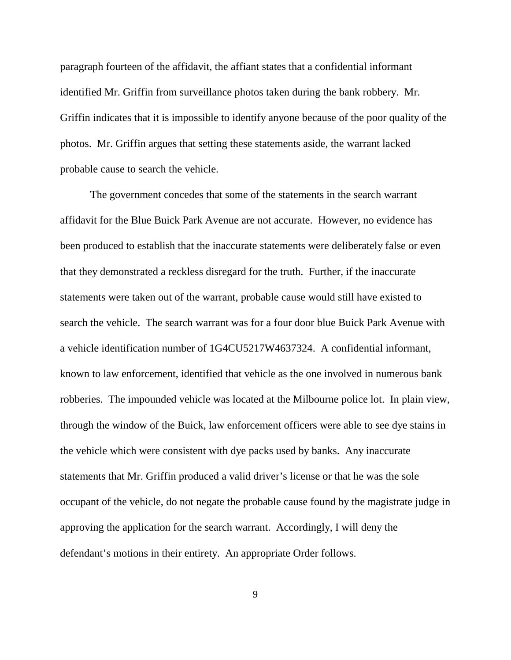paragraph fourteen of the affidavit, the affiant states that a confidential informant identified Mr. Griffin from surveillance photos taken during the bank robbery. Mr. Griffin indicates that it is impossible to identify anyone because of the poor quality of the photos. Mr. Griffin argues that setting these statements aside, the warrant lacked probable cause to search the vehicle.

The government concedes that some of the statements in the search warrant affidavit for the Blue Buick Park Avenue are not accurate. However, no evidence has been produced to establish that the inaccurate statements were deliberately false or even that they demonstrated a reckless disregard for the truth. Further, if the inaccurate statements were taken out of the warrant, probable cause would still have existed to search the vehicle. The search warrant was for a four door blue Buick Park Avenue with a vehicle identification number of 1G4CU5217W4637324. A confidential informant, known to law enforcement, identified that vehicle as the one involved in numerous bank robberies. The impounded vehicle was located at the Milbourne police lot. In plain view, through the window of the Buick, law enforcement officers were able to see dye stains in the vehicle which were consistent with dye packs used by banks. Any inaccurate statements that Mr. Griffin produced a valid driver's license or that he was the sole occupant of the vehicle, do not negate the probable cause found by the magistrate judge in approving the application for the search warrant. Accordingly, I will deny the defendant's motions in their entirety. An appropriate Order follows.